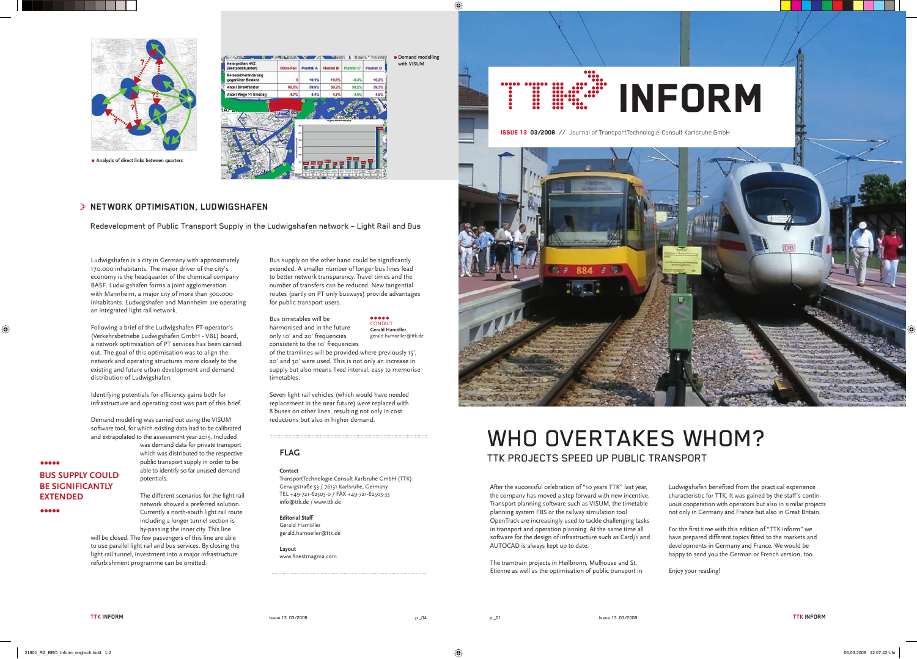Ludwigshafen is a city in Germany with approximately 170.000 inhabitants. The major driver of the city's economy is the headquarter of the chemical company BASF. Ludwigshafen forms a joint agglomeration with Mannheim, a major city of more than 300.000 inhabitants. Ludwigshafen and Mannheim are operating an integrated light rail network.

Identifying potentials for efficiency gains both for infrastructure and operating cost was part of this brief.

Following a brief of the Ludwigshafen PT-operator's (Verkehrsbetriebe Ludwigshafen GmbH - VBL) board, a network optimisation of PT services has been carried out. The goal of this optimisation was to align the network and operating structures more closely to the existing and future urban development and demand distribution of Ludwigshafen.

> **Layout**  www.finestmagma.com

Demand modelling was carried out using the VISUM software tool, for which existing data had to be calibrated and extrapolated to the assessment year 2015. Included

> was demand data for private transport which was distributed to the respective public transport supply in order to be able to identify so far unused demand potentials.

Ludwigshafen benefited from the practical experience characteristic for TTK. It was gained by the staff's continuous cooperation with operators but also in similar projects not only in Germany and France but also in Great Britain.

The different scenarios for the light rail network showed a preferred solution. Currently a north-south light rail route including a longer tunnel section is by-passing the inner city. This line will be closed. The few passengers of this line are able to use parallel light rail and bus services. By closing the light rail tunnel, investment into a major infrastructure refurbishment programme can be omitted.

For the first time with this edition of "TTK inform" we have prepared different topics fitted to the markets and developments in Germany and France. We would be happy to send you the German or French version, too.

# **FLAG**

**Contact**

Bus supply on the other hand could be significantly extended. A smaller number of longer bus lines lead to better network transparency. Travel times and the number of transfers can be reduced. New tangential routes (partly on PT only busways) provide advantages for public transport users.

TransportTechnologie-Consult Karlsruhe GmbH (TTK) Gerwigstraße 53 / 76131 Karlsruhe, Germany TEL +49-721-62503-0 / FAX +49-721-62503-33 info@ttk.de / www.ttk.de

**Editorial Staff**  Gerald Hamöller gerald.hamoeller@ttk.de



ISSUE 13 03/2008 // Journal of TransportTechnologie-Consult Karlsruhe GmbH



**CONTACT Gerald Hamöller**

> After the successful celebration of "10 years TTK" last year, the company has moved a step forward with new incentive. Transport planning software such as VISUM, the timetable planning system FBS or the railway simulation tool OpenTrack are increasingly used to tackle challenging tasks in transport and operation planning. At the same time all software for the design of infrastructure such as Card/1 and AUTOCAD is always kept up to date.

The tramtrain projects in Heilbronn, Mulhouse and St. Etienne as well as the optimisation of public transport in

Enjoy your reading!

# WHO OVERTAKES WHOM? TTK PROJECTS SPEED UP PUBLIC TRANSPORT

Bus timetables will be harmonised and in the future only 10' and 20' frequencies consistent to the 10' frequencies

of the tramlines will be provided where previously 15', 20' and 30' were used. This is not only an increase in supply but also means fixed interval, easy to memorise timetables.

Seven light rail vehicles (which would have needed replacement in the near future) were replaced with 8 buses on other lines, resulting not only in cost reductions but also in higher demand.

gerald.hamoeller@ttk.de



**Analysis of direct links between quarters**

## **NETWORK OPTIMISATION, LUDWIGSHAFEN**

Redevelopment of Public Transport Supply in the Ludwigshafen network – Light Rail and Bus

**BUS SUPPLY COULD BE SIGNIFICANTLY** 

**EXTENDED**

 $\begin{array}{ccccc}\n\bullet & \bullet & \bullet & \bullet & \bullet & \bullet\n\end{array}$ 

-----